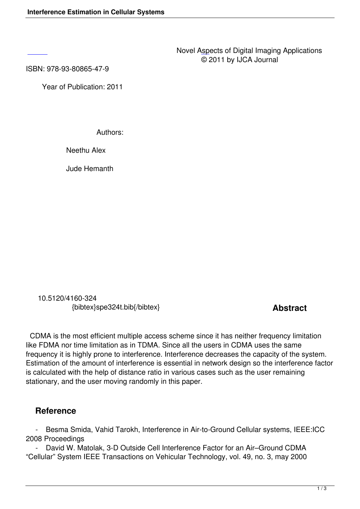ISBN: 978-93-80865-47-9

 [Ye](http://research.ijcaonline.org/dia/number1/SPE324T.pdf)ar of Publication: 2011

Authors:

Neethu Alex

Jude Hemanth

 10.5120/4160-324 {bibtex}spe324t.bib{/bibtex} **Abstract** 

 CDMA is the most efficient multiple access scheme since it has neither frequency limitation like FDMA nor time limitation as in TDMA. Since all the users in CDMA uses the same frequency it is highly prone to interference. Interference decreases the capacity of the system. Estimation of the amount of interference is essential in network design so the interference factor is calculated with the help of distance ratio in various cases such as the user remaining stationary, and the user moving randomly in this paper.

## **Reference**

 - Besma Smida, Vahid Tarokh, Interference in Air-to-Ground Cellular systems, IEEE:ICC 2008 Proceedings

 - David W. Matolak, 3-D Outside Cell Interference Factor for an Air–Ground CDMA "Cellular" System IEEE Transactions on Vehicular Technology, vol. 49, no. 3, may 2000